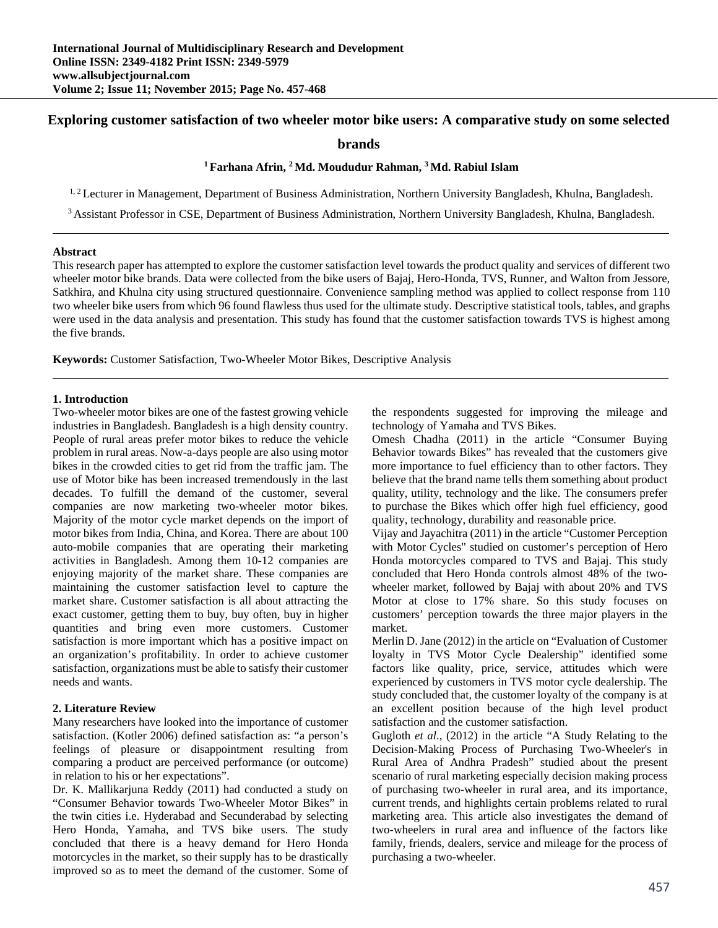# **Exploring customer satisfaction of two wheeler motor bike users: A comparative study on some selected**

### **brands**

### **1 Farhana Afrin, 2 Md. Moududur Rahman, 3 Md. Rabiul Islam**

<sup>1, 2</sup> Lecturer in Management, Department of Business Administration, Northern University Bangladesh, Khulna, Bangladesh.

3 Assistant Professor in CSE, Department of Business Administration, Northern University Bangladesh, Khulna, Bangladesh.

#### **Abstract**

This research paper has attempted to explore the customer satisfaction level towards the product quality and services of different two wheeler motor bike brands. Data were collected from the bike users of Bajaj, Hero-Honda, TVS, Runner, and Walton from Jessore, Satkhira, and Khulna city using structured questionnaire. Convenience sampling method was applied to collect response from 110 two wheeler bike users from which 96 found flawless thus used for the ultimate study. Descriptive statistical tools, tables, and graphs were used in the data analysis and presentation. This study has found that the customer satisfaction towards TVS is highest among the five brands.

**Keywords:** Customer Satisfaction, Two-Wheeler Motor Bikes, Descriptive Analysis

#### **1. Introduction**

Two-wheeler motor bikes are one of the fastest growing vehicle industries in Bangladesh. Bangladesh is a high density country. People of rural areas prefer motor bikes to reduce the vehicle problem in rural areas. Now-a-days people are also using motor bikes in the crowded cities to get rid from the traffic jam. The use of Motor bike has been increased tremendously in the last decades. To fulfill the demand of the customer, several companies are now marketing two-wheeler motor bikes. Majority of the motor cycle market depends on the import of motor bikes from India, China, and Korea. There are about 100 auto-mobile companies that are operating their marketing activities in Bangladesh. Among them 10-12 companies are enjoying majority of the market share. These companies are maintaining the customer satisfaction level to capture the market share. Customer satisfaction is all about attracting the exact customer, getting them to buy, buy often, buy in higher quantities and bring even more customers. Customer satisfaction is more important which has a positive impact on an organization's profitability. In order to achieve customer satisfaction, organizations must be able to satisfy their customer needs and wants.

### **2. Literature Review**

Many researchers have looked into the importance of customer satisfaction. (Kotler 2006) defined satisfaction as: "a person's feelings of pleasure or disappointment resulting from comparing a product are perceived performance (or outcome) in relation to his or her expectations".

Dr. K. Mallikarjuna Reddy (2011) had conducted a study on "Consumer Behavior towards Two-Wheeler Motor Bikes" in the twin cities i.e. Hyderabad and Secunderabad by selecting Hero Honda, Yamaha, and TVS bike users. The study concluded that there is a heavy demand for Hero Honda motorcycles in the market, so their supply has to be drastically improved so as to meet the demand of the customer. Some of

the respondents suggested for improving the mileage and technology of Yamaha and TVS Bikes.

Omesh Chadha (2011) in the article "Consumer Buying Behavior towards Bikes" has revealed that the customers give more importance to fuel efficiency than to other factors. They believe that the brand name tells them something about product quality, utility, technology and the like. The consumers prefer to purchase the Bikes which offer high fuel efficiency, good quality, technology, durability and reasonable price.

Vijay and Jayachitra (2011) in the article "Customer Perception with Motor Cycles" studied on customer's perception of Hero Honda motorcycles compared to TVS and Bajaj. This study concluded that Hero Honda controls almost 48% of the twowheeler market, followed by Bajaj with about 20% and TVS Motor at close to 17% share. So this study focuses on customers' perception towards the three major players in the market.

Merlin D. Jane (2012) in the article on "Evaluation of Customer loyalty in TVS Motor Cycle Dealership" identified some factors like quality, price, service, attitudes which were experienced by customers in TVS motor cycle dealership. The study concluded that, the customer loyalty of the company is at an excellent position because of the high level product satisfaction and the customer satisfaction.

Gugloth *et al*., (2012) in the article "A Study Relating to the Decision-Making Process of Purchasing Two-Wheeler's in Rural Area of Andhra Pradesh" studied about the present scenario of rural marketing especially decision making process of purchasing two-wheeler in rural area, and its importance, current trends, and highlights certain problems related to rural marketing area. This article also investigates the demand of two-wheelers in rural area and influence of the factors like family, friends, dealers, service and mileage for the process of purchasing a two-wheeler.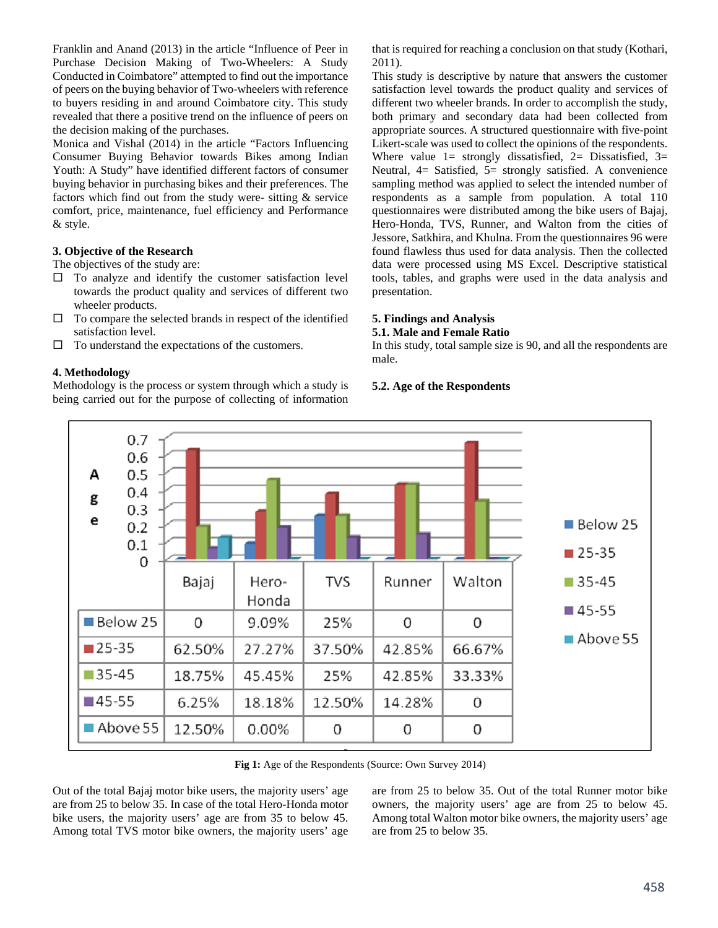Franklin and Anand (2013) in the article "Influence of Peer in Purchase Decision Making of Two-Wheelers: A Study Conducted in Coimbatore" attempted to find out the importance of peers on the buying behavior of Two-wheelers with reference to buyers residing in and around Coimbatore city. This study revealed that there a positive trend on the influence of peers on the decision making of the purchases.

Monica and Vishal (2014) in the article "Factors Influencing Consumer Buying Behavior towards Bikes among Indian Youth: A Study" have identified different factors of consumer buying behavior in purchasing bikes and their preferences. The factors which find out from the study were- sitting & service comfort, price, maintenance, fuel efficiency and Performance & style.

#### **3. Objective of the Research**

The objectives of the study are:

- $\Box$  To analyze and identify the customer satisfaction level towards the product quality and services of different two wheeler products.
- $\Box$  To compare the selected brands in respect of the identified satisfaction level.
- $\Box$  To understand the expectations of the customers.

#### **4. Methodology**

Methodology is the process or system through which a study is being carried out for the purpose of collecting of information that is required for reaching a conclusion on that study (Kothari, 2011).

This study is descriptive by nature that answers the customer satisfaction level towards the product quality and services of different two wheeler brands. In order to accomplish the study, both primary and secondary data had been collected from appropriate sources. A structured questionnaire with five-point Likert-scale was used to collect the opinions of the respondents. Where value  $1=$  strongly dissatisfied,  $2=$  Dissatisfied,  $3=$ Neutral, 4= Satisfied, 5= strongly satisfied. A convenience sampling method was applied to select the intended number of respondents as a sample from population. A total 110 questionnaires were distributed among the bike users of Bajaj, Hero-Honda, TVS, Runner, and Walton from the cities of Jessore, Satkhira, and Khulna. From the questionnaires 96 were found flawless thus used for data analysis. Then the collected data were processed using MS Excel. Descriptive statistical tools, tables, and graphs were used in the data analysis and presentation.

#### **5. Findings and Analysis 5.1. Male and Female Ratio**

In this study, total sample size is 90, and all the respondents are male.

#### **5.2. Age of the Respondents**



Fig 1: Age of the Respondents (Source: Own Survey 2014)

Out of the total Bajaj motor bike users, the majority users' age are from 25 to below 35. In case of the total Hero-Honda motor bike users, the majority users' age are from 35 to below 45. Among total TVS motor bike owners, the majority users' age are from 25 to below 35. Out of the total Runner motor bike owners, the majority users' age are from 25 to below 45. Among total Walton motor bike owners, the majority users' age are from 25 to below 35.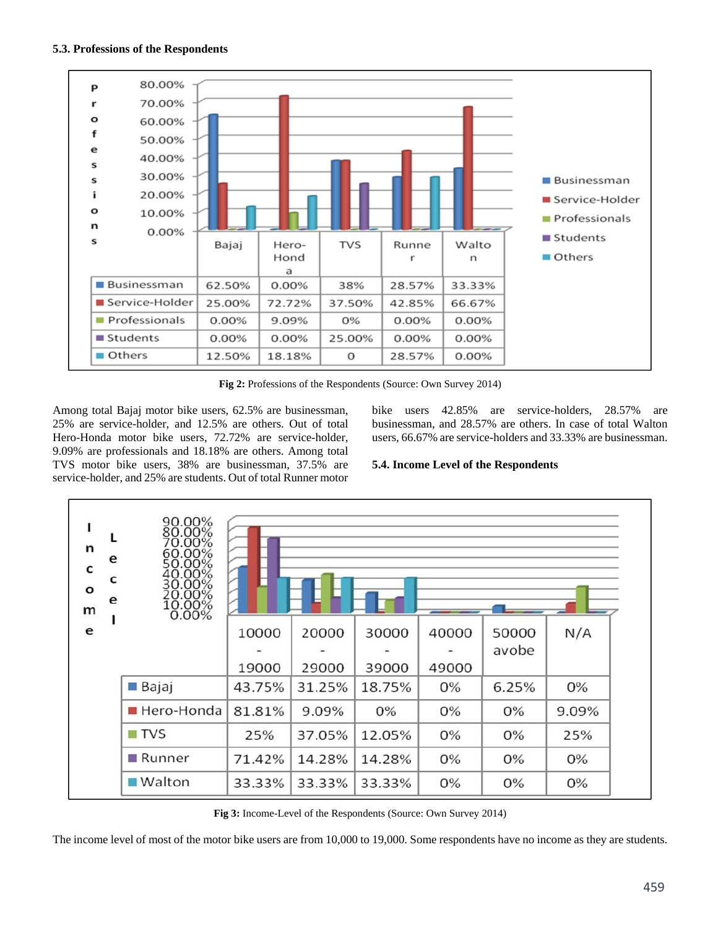

**Fig 2:** Professions of the Respondents (Source: Own Survey 2014)

Among total Bajaj motor bike users, 62.5% are businessman, 25% are service-holder, and 12.5% are others. Out of total Hero-Honda motor bike users, 72.72% are service-holder, 9.09% are professionals and 18.18% are others. Among total TVS motor bike users, 38% are businessman, 37.5% are service-holder, and 25% are students. Out of total Runner motor bike users 42.85% are service-holders, 28.57% are businessman, and 28.57% are others. In case of total Walton users, 66.67% are service-holders and 33.33% are businessman.

# **5.4. Income Level of the Respondents**



**Fig 3:** Income-Level of the Respondents (Source: Own Survey 2014)

The income level of most of the motor bike users are from 10,000 to 19,000. Some respondents have no income as they are students.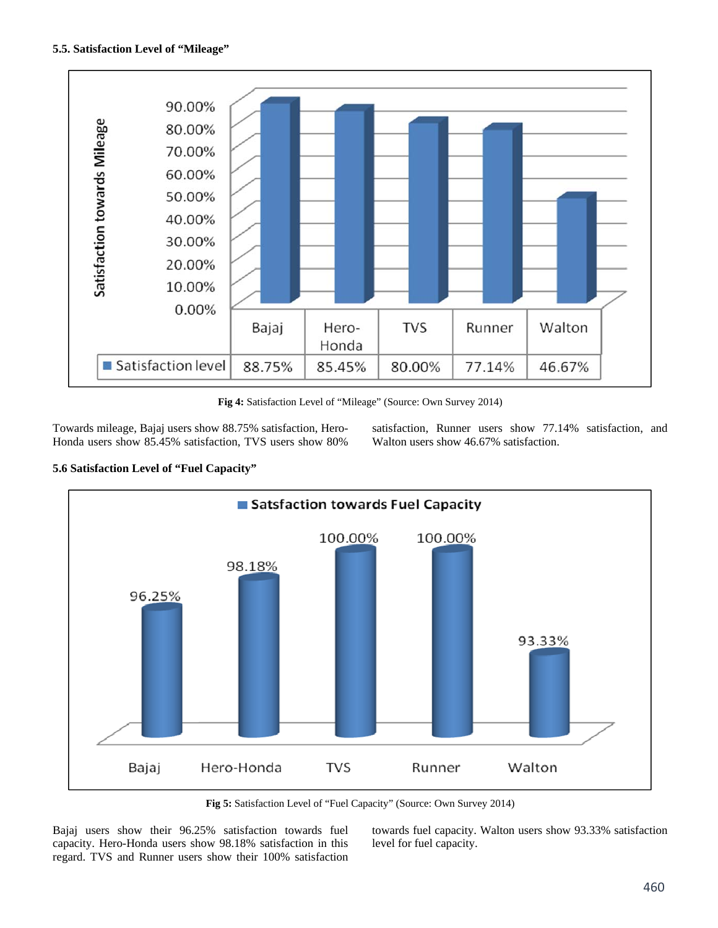

**Fig 4:** Satisfaction Level of "Mileage" (Source: Own Survey 2014)

Towards mileage, Bajaj users show 88.75% satisfaction, Hero-Honda users show 85.45% satisfaction, TVS users show 80% satisfaction, Runner users show 77.14% satisfaction, and Walton users show 46.67% satisfaction.





**Fig 5:** Satisfaction Level of "Fuel Capacity" (Source: Own Survey 2014)

Bajaj users show their 96.25% satisfaction towards fuel capacity. Hero-Honda users show 98.18% satisfaction in this regard. TVS and Runner users show their 100% satisfaction towards fuel capacity. Walton users show 93.33% satisfaction level for fuel capacity.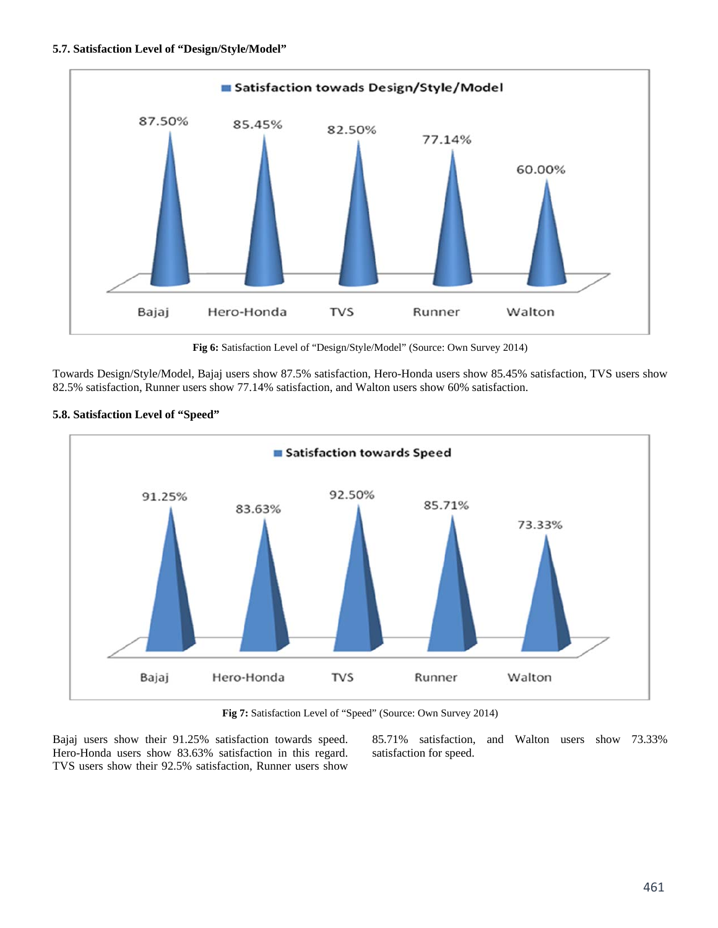

**Fig 6:** Satisfaction Level of "Design/Style/Model" (Source: Own Survey 2014)

Towards Design/Style/Model, Bajaj users show 87.5% satisfaction, Hero-Honda users show 85.45% satisfaction, TVS users show 82.5% satisfaction, Runner users show 77.14% satisfaction, and Walton users show 60% satisfaction.



#### **5.8. Satisfaction Level of "Speed"**

**Fig 7:** Satisfaction Level of "Speed" (Source: Own Survey 2014)

Bajaj users show their 91.25% satisfaction towards speed. Hero-Honda users show 83.63% satisfaction in this regard. TVS users show their 92.5% satisfaction, Runner users show

85.71% satisfaction, and Walton users show 73.33% satisfaction for speed.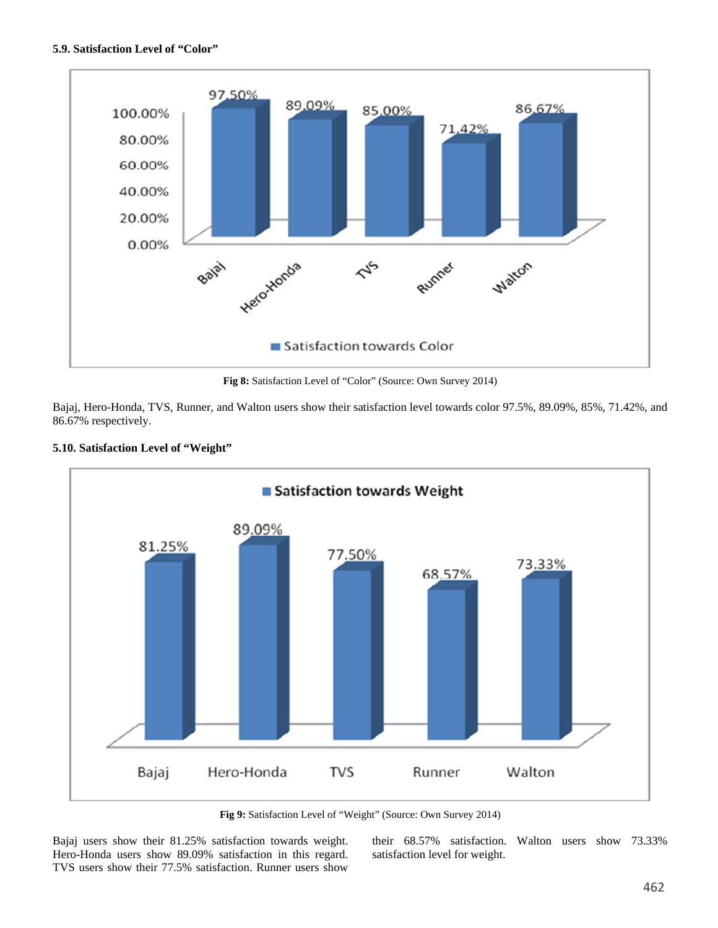### **5.9. Satisfaction Level of "Color"**



**Fig 8:** Satisfaction Level of "Color" (Source: Own Survey 2014)

Bajaj, Hero-Honda, TVS, Runner, and Walton users show their satisfaction level towards color 97.5%, 89.09%, 85%, 71.42%, and 86.67% respectively.



### **5.10. Satisfaction Level of "Weight"**

**Fig 9:** Satisfaction Level of "Weight" (Source: Own Survey 2014)

Bajaj users show their 81.25% satisfaction towards weight. Hero-Honda users show 89.09% satisfaction in this regard. TVS users show their 77.5% satisfaction. Runner users show

their 68.57% satisfaction. Walton users show 73.33% satisfaction level for weight.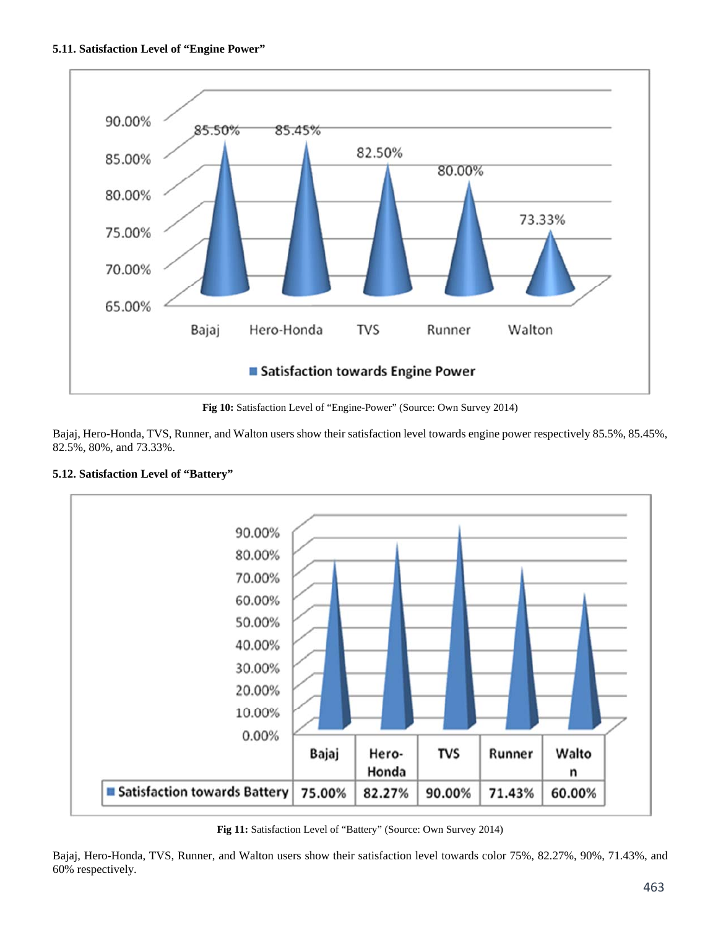

**Fig 10:** Satisfaction Level of "Engine-Power" (Source: Own Survey 2014)

Bajaj, Hero-Honda, TVS, Runner, and Walton users show their satisfaction level towards engine power respectively 85.5%, 85.45%, 82.5%, 80%, and 73.33%.



### **5.12. Satisfaction Level of "Battery"**

**Fig 11:** Satisfaction Level of "Battery" (Source: Own Survey 2014)

Bajaj, Hero-Honda, TVS, Runner, and Walton users show their satisfaction level towards color 75%, 82.27%, 90%, 71.43%, and 60% respectively.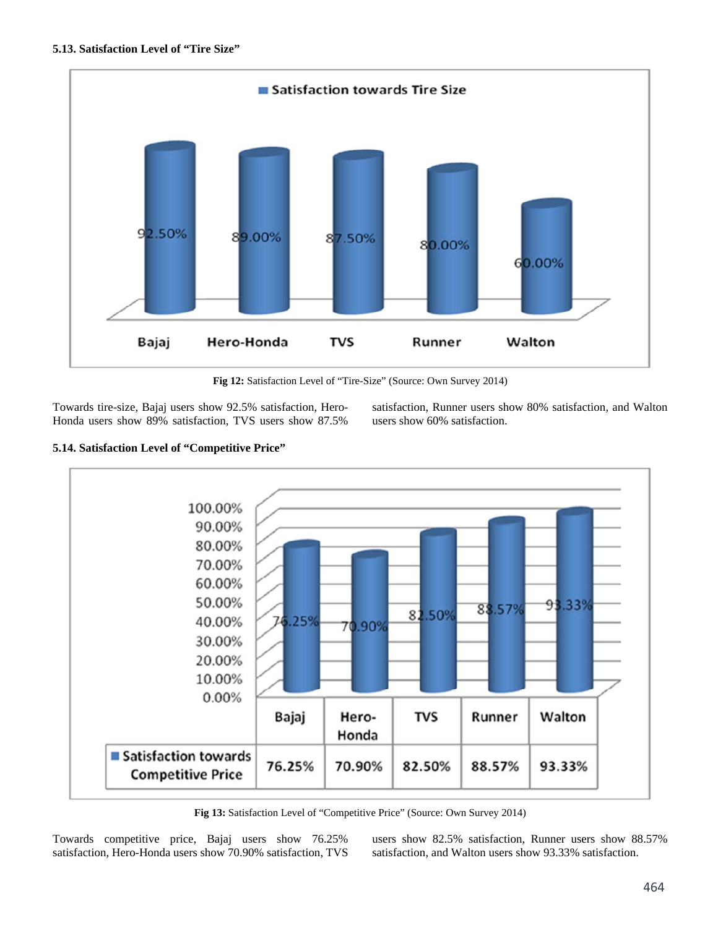

**Fig 12:** Satisfaction Level of "Tire-Size" (Source: Own Survey 2014)

Towards tire-size, Bajaj users show 92.5% satisfaction, Hero-Honda users show 89% satisfaction, TVS users show 87.5%

satisfaction, Runner users show 80% satisfaction, and Walton users show 60% satisfaction.

# **5.14. Satisfaction Level of "Competitive Price"**



**Fig 13:** Satisfaction Level of "Competitive Price" (Source: Own Survey 2014)

Towards competitive price, Bajaj users show 76.25% satisfaction, Hero-Honda users show 70.90% satisfaction, TVS users show 82.5% satisfaction, Runner users show 88.57% satisfaction, and Walton users show 93.33% satisfaction.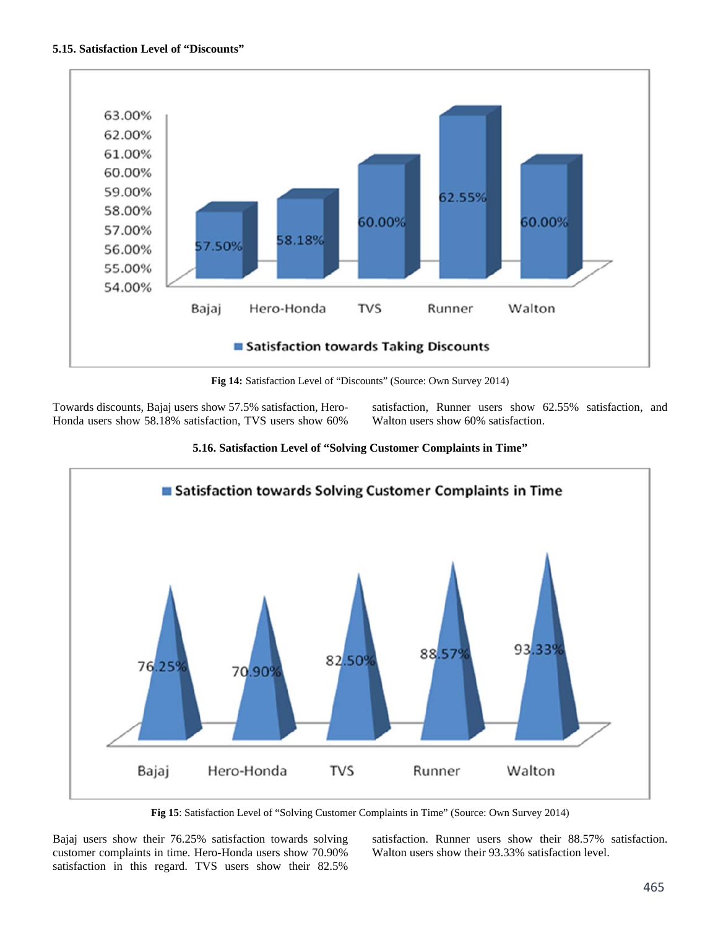

**Fig 14:** Satisfaction Level of "Discounts" (Source: Own Survey 2014)

Towards discounts, Bajaj users show 57.5% satisfaction, Hero-Honda users show 58.18% satisfaction, TVS users show 60% satisfaction, Runner users show 62.55% satisfaction, and Walton users show 60% satisfaction.



**5.16. Satisfaction Level of "Solving Customer Complaints in Time"** 

**Fig 15**: Satisfaction Level of "Solving Customer Complaints in Time" (Source: Own Survey 2014)

Bajaj users show their 76.25% satisfaction towards solving customer complaints in time. Hero-Honda users show 70.90% satisfaction in this regard. TVS users show their 82.5%

satisfaction. Runner users show their 88.57% satisfaction. Walton users show their 93.33% satisfaction level.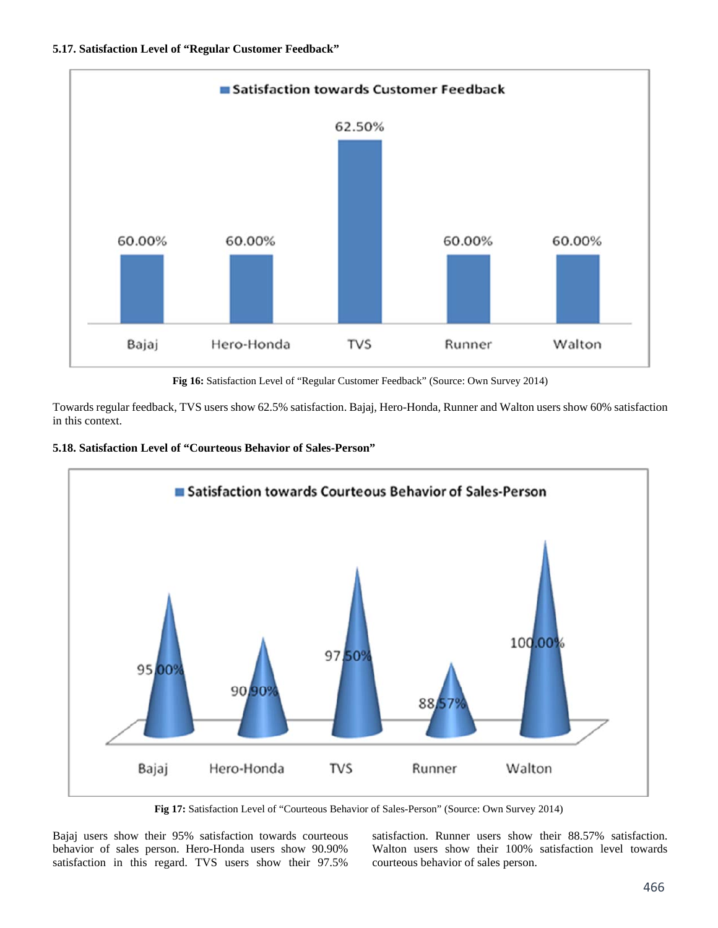

**Fig 16:** Satisfaction Level of "Regular Customer Feedback" (Source: Own Survey 2014)

Towards regular feedback, TVS users show 62.5% satisfaction. Bajaj, Hero-Honda, Runner and Walton users show 60% satisfaction in this context.





**Fig 17:** Satisfaction Level of "Courteous Behavior of Sales-Person" (Source: Own Survey 2014)

Bajaj users show their 95% satisfaction towards courteous behavior of sales person. Hero-Honda users show 90.90% satisfaction in this regard. TVS users show their 97.5%

satisfaction. Runner users show their 88.57% satisfaction. Walton users show their 100% satisfaction level towards courteous behavior of sales person.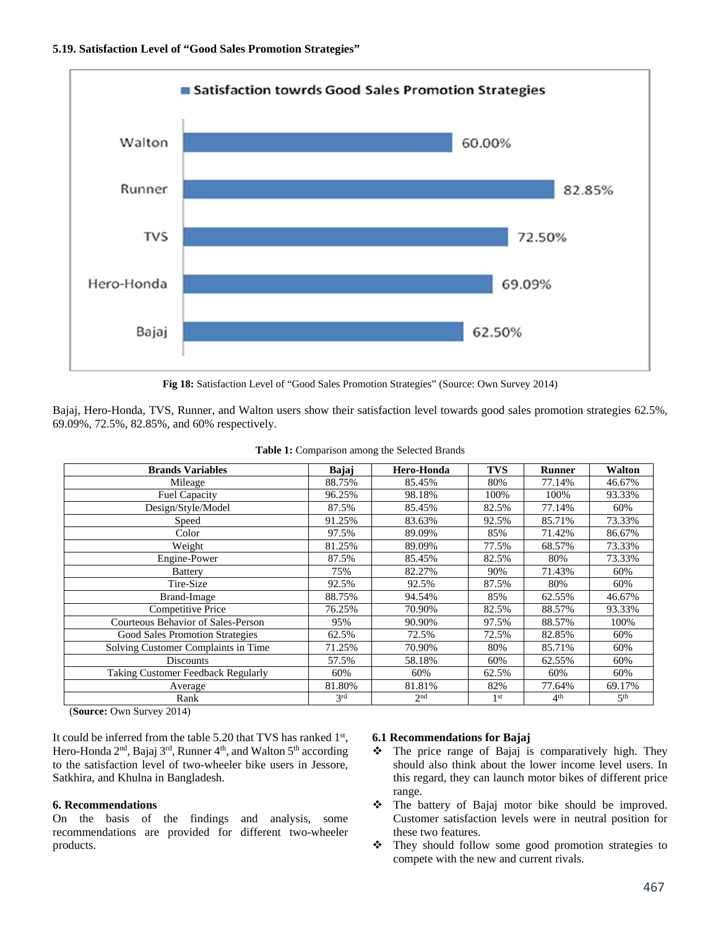

**Fig 18:** Satisfaction Level of "Good Sales Promotion Strategies" (Source: Own Survey 2014)

Bajaj, Hero-Honda, TVS, Runner, and Walton users show their satisfaction level towards good sales promotion strategies 62.5%, 69.09%, 72.5%, 82.85%, and 60% respectively.

| <b>Brands Variables</b>             | Bajaj  | Hero-Honda      | <b>TVS</b>      | <b>Runner</b>   | Walton          |
|-------------------------------------|--------|-----------------|-----------------|-----------------|-----------------|
| Mileage                             | 88.75% | 85.45%          | 80%             | 77.14%          | 46.67%          |
| <b>Fuel Capacity</b>                | 96.25% | 98.18%          | 100%            | 100%            | 93.33%          |
| Design/Style/Model                  | 87.5%  | 85.45%          | 82.5%           | 77.14%          | 60%             |
| Speed                               | 91.25% | 83.63%          | 92.5%           | 85.71%          | 73.33%          |
| Color                               | 97.5%  | 89.09%          | 85%             | 71.42%          | 86.67%          |
| Weight                              | 81.25% | 89.09%          | 77.5%           | 68.57%          | 73.33%          |
| Engine-Power                        | 87.5%  | 85.45%          | 82.5%           | 80%             | 73.33%          |
| <b>Battery</b>                      | 75%    | 82.27%          | 90%             | 71.43%          | 60%             |
| Tire-Size                           | 92.5%  | 92.5%           | 87.5%           | 80%             | 60%             |
| Brand-Image                         | 88.75% | 94.54%          | 85%             | 62.55%          | 46.67%          |
| Competitive Price                   | 76.25% | 70.90%          | 82.5%           | 88.57%          | 93.33%          |
| Courteous Behavior of Sales-Person  | 95%    | 90.90%          | 97.5%           | 88.57%          | 100%            |
| Good Sales Promotion Strategies     | 62.5%  | 72.5%           | 72.5%           | 82.85%          | 60%             |
| Solving Customer Complaints in Time | 71.25% | 70.90%          | 80%             | 85.71%          | 60%             |
| <b>Discounts</b>                    | 57.5%  | 58.18%          | 60%             | 62.55%          | 60%             |
| Taking Customer Feedback Regularly  | 60%    | 60%             | 62.5%           | 60%             | 60%             |
| Average                             | 81.80% | 81.81%          | 82%             | 77.64%          | 69.17%          |
| Rank                                | 3rd    | 2 <sub>nd</sub> | 1 <sup>st</sup> | 4 <sup>th</sup> | 5 <sup>th</sup> |

**Table 1:** Comparison among the Selected Brands

(**Source:** Own Survey 2014)

It could be inferred from the table 5.20 that TVS has ranked  $1<sup>st</sup>$ , Hero-Honda 2<sup>nd</sup>, Bajaj 3<sup>rd</sup>, Runner 4<sup>th</sup>, and Walton 5<sup>th</sup> according to the satisfaction level of two-wheeler bike users in Jessore, Satkhira, and Khulna in Bangladesh.

#### **6. Recommendations**

On the basis of the findings and analysis, some recommendations are provided for different two-wheeler products.

#### **6.1 Recommendations for Bajaj**

- $\div$  The price range of Bajaj is comparatively high. They should also think about the lower income level users. In this regard, they can launch motor bikes of different price range.
- The battery of Bajaj motor bike should be improved. Customer satisfaction levels were in neutral position for these two features.
- They should follow some good promotion strategies to compete with the new and current rivals.